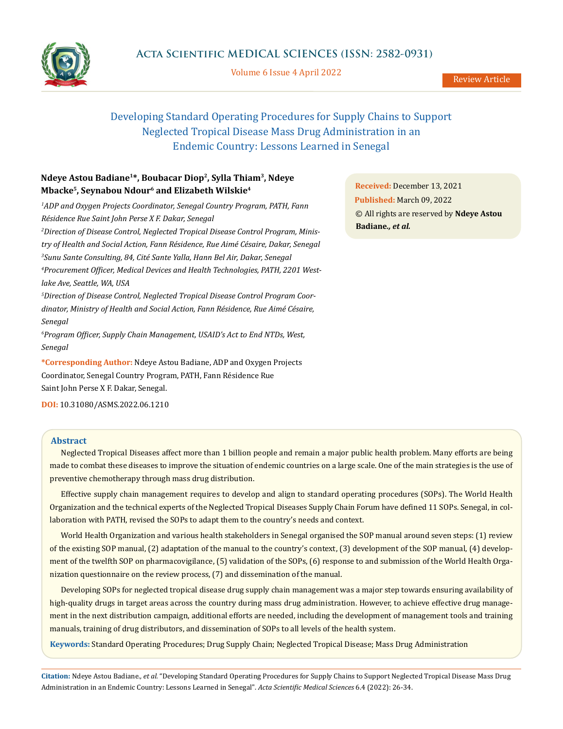

Volume 6 Issue 4 April 2022

# Developing Standard Operating Procedures for Supply Chains to Support Neglected Tropical Disease Mass Drug Administration in an Endemic Country: Lessons Learned in Senegal

## **Ndeye Astou Badiane1\*, Boubacar Diop2, Sylla Thiam3, Ndeye Mbacke5, Seynabou Ndour6 and Elizabeth Wilskie4**

*1 ADP and Oxygen Projects Coordinator, Senegal Country Program, PATH, Fann Résidence Rue Saint John Perse X F. Dakar, Senegal 2 Direction of Disease Control, Neglected Tropical Disease Control Program, Ministry of Health and Social Action, Fann Résidence, Rue Aimé Césaire, Dakar, Senegal 3 Sunu Sante Consulting, 84, Cité Sante Yalla, Hann Bel Air, Dakar, Senegal 4 Procurement Officer, Medical Devices and Health Technologies, PATH, 2201 Westlake Ave, Seattle, WA, USA 5 Direction of Disease Control, Neglected Tropical Disease Control Program Coordinator, Ministry of Health and Social Action, Fann Résidence, Rue Aimé Césaire, Senegal 6 Program Officer, Supply Chain Management, USAID's Act to End NTDs, West, Senegal*

**\*Corresponding Author:** Ndeye Astou Badiane, ADP and Oxygen Projects Coordinator, Senegal Country Program, PATH, Fann Résidence Rue Saint John Perse X F. Dakar, Senegal.

**DOI:** [10.31080/ASMS.2022.06.121](http://actascientific.com/ASMS/pdf/ASMS-06-1210.pdf)0

### **Abstract**

Neglected Tropical Diseases affect more than 1 billion people and remain a major public health problem. Many efforts are being made to combat these diseases to improve the situation of endemic countries on a large scale. One of the main strategies is the use of preventive chemotherapy through mass drug distribution.

Effective supply chain management requires to develop and align to standard operating procedures (SOPs). The World Health Organization and the technical experts of the Neglected Tropical Diseases Supply Chain Forum have defined 11 SOPs. Senegal, in collaboration with PATH, revised the SOPs to adapt them to the country's needs and context.

World Health Organization and various health stakeholders in Senegal organised the SOP manual around seven steps: (1) review of the existing SOP manual, (2) adaptation of the manual to the country's context, (3) development of the SOP manual, (4) development of the twelfth SOP on pharmacovigilance, (5) validation of the SOPs, (6) response to and submission of the World Health Organization questionnaire on the review process, (7) and dissemination of the manual.

Developing SOPs for neglected tropical disease drug supply chain management was a major step towards ensuring availability of high-quality drugs in target areas across the country during mass drug administration. However, to achieve effective drug management in the next distribution campaign, additional efforts are needed, including the development of management tools and training manuals, training of drug distributors, and dissemination of SOPs to all levels of the health system.

**Keywords:** Standard Operating Procedures; Drug Supply Chain; Neglected Tropical Disease; Mass Drug Administration

**Citation:** Ndeye Astou Badiane*., et al.* "Developing Standard Operating Procedures for Supply Chains to Support Neglected Tropical Disease Mass Drug Administration in an Endemic Country: Lessons Learned in Senegal". *Acta Scientific Medical Sciences* 6.4 (2022): 26-34.

**Received:** December 13, 2021 **Published:** March 09, 2022 © All rights are reserved by **Ndeye Astou Badiane***., et al.*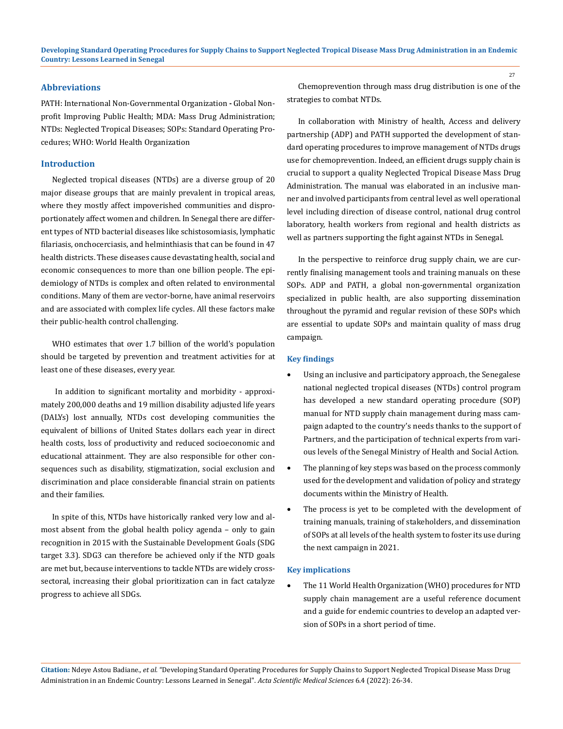### **Abbreviations**

PATH: International Non-Governmental Organization **-** Global Nonprofit Improving Public Health; MDA: Mass Drug Administration; NTDs: Neglected Tropical Diseases; SOPs: Standard Operating Procedures; WHO: World Health Organization

#### **Introduction**

Neglected tropical diseases (NTDs) are a diverse group of 20 major disease groups that are mainly prevalent in tropical areas, where they mostly affect impoverished communities and disproportionately affect women and children. In Senegal there are different types of NTD bacterial diseases like schistosomiasis, lymphatic filariasis, onchocerciasis, and helminthiasis that can be found in 47 health districts. These diseases cause devastating health, social and economic consequences to more than one billion people. The epidemiology of NTDs is complex and often related to environmental conditions. Many of them are vector-borne, have animal reservoirs and are associated with complex life cycles. All these factors make their public-health control challenging.

WHO estimates that over 1.7 billion of the world's population should be targeted by prevention and treatment activities for at least one of these diseases, every year.

In addition to significant mortality and morbidity - approximately 200,000 deaths and 19 million disability adjusted life years (DALYs) lost annually, NTDs cost developing communities the equivalent of billions of United States dollars each year in direct health costs, loss of productivity and reduced socioeconomic and educational attainment. They are also responsible for other consequences such as disability, stigmatization, social exclusion and discrimination and place considerable financial strain on patients and their families.

In spite of this, NTDs have historically ranked very low and almost absent from the global health policy agenda – only to gain recognition in 2015 with the Sustainable Development Goals (SDG target 3.3). SDG3 can therefore be achieved only if the NTD goals are met but, because interventions to tackle NTDs are widely crosssectoral, increasing their global prioritization can in fact catalyze progress to achieve all SDGs.

Chemoprevention through mass drug distribution is one of the strategies to combat NTDs.

In collaboration with Ministry of health, Access and delivery partnership (ADP) and PATH supported the development of standard operating procedures to improve management of NTDs drugs use for chemoprevention. Indeed, an efficient drugs supply chain is crucial to support a quality Neglected Tropical Disease Mass Drug Administration. The manual was elaborated in an inclusive manner and involved participants from central level as well operational level including direction of disease control, national drug control laboratory, health workers from regional and health districts as well as partners supporting the fight against NTDs in Senegal.

In the perspective to reinforce drug supply chain, we are currently finalising management tools and training manuals on these SOPs. ADP and PATH, a global non-governmental organization specialized in public health, are also supporting dissemination throughout the pyramid and regular revision of these SOPs which are essential to update SOPs and maintain quality of mass drug campaign.

#### **Key findings**

- Using an inclusive and participatory approach, the Senegalese national neglected tropical diseases (NTDs) control program has developed a new standard operating procedure (SOP) manual for NTD supply chain management during mass campaign adapted to the country's needs thanks to the support of Partners, and the participation of technical experts from various levels of the Senegal Ministry of Health and Social Action.
- The planning of key steps was based on the process commonly used for the development and validation of policy and strategy documents within the Ministry of Health.
- The process is yet to be completed with the development of training manuals, training of stakeholders, and dissemination of SOPs at all levels of the health system to foster its use during the next campaign in 2021.

#### **Key implications**

The 11 World Health Organization (WHO) procedures for NTD supply chain management are a useful reference document and a guide for endemic countries to develop an adapted version of SOPs in a short period of time.

**Citation:** Ndeye Astou Badiane*., et al.* "Developing Standard Operating Procedures for Supply Chains to Support Neglected Tropical Disease Mass Drug Administration in an Endemic Country: Lessons Learned in Senegal". *Acta Scientific Medical Sciences* 6.4 (2022): 26-34.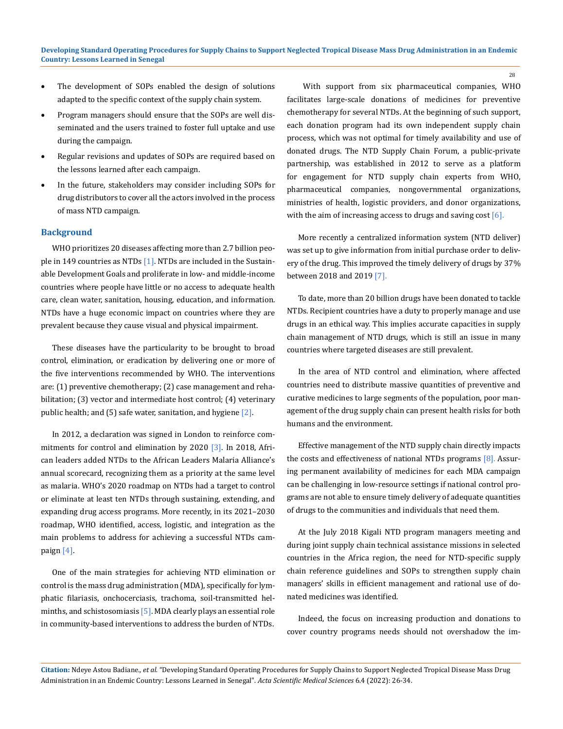- The development of SOPs enabled the design of solutions adapted to the specific context of the supply chain system.
- Program managers should ensure that the SOPs are well disseminated and the users trained to foster full uptake and use during the campaign.
- Regular revisions and updates of SOPs are required based on the lessons learned after each campaign.
- In the future, stakeholders may consider including SOPs for drug distributors to cover all the actors involved in the process of mass NTD campaign.

#### **Background**

WHO prioritizes 20 diseases affecting more than 2.7 billion people in 149 countries as NTDs  $[1]$ . NTDs are included in the Sustainable Development Goals and proliferate in low- and middle-income countries where people have little or no access to adequate health care, clean water, sanitation, housing, education, and information. NTDs have a huge economic impact on countries where they are prevalent because they cause visual and physical impairment.

These diseases have the particularity to be brought to broad control, elimination, or eradication by delivering one or more of the five interventions recommended by WHO. The interventions are: (1) preventive chemotherapy; (2) case management and rehabilitation; (3) vector and intermediate host control; (4) veterinary public health; and  $(5)$  safe water, sanitation, and hygiene  $[2]$ .

In 2012, a declaration was signed in London to reinforce commitments for control and elimination by 2020 [3]. In 2018, African leaders added NTDs to the African Leaders Malaria Alliance's annual scorecard, recognizing them as a priority at the same level as malaria. WHO's 2020 roadmap on NTDs had a target to control or eliminate at least ten NTDs through sustaining, extending, and expanding drug access programs. More recently, in its 2021–2030 roadmap, WHO identified, access, logistic, and integration as the main problems to address for achieving a successful NTDs campaign [4].

One of the main strategies for achieving NTD elimination or control is the mass drug administration (MDA), specifically for lymphatic filariasis, onchocerciasis, trachoma, soil-transmitted helminths, and schistosomiasis  $[5]$ . MDA clearly plays an essential role in community-based interventions to address the burden of NTDs.

With support from six pharmaceutical companies, WHO facilitates large-scale donations of medicines for preventive chemotherapy for several NTDs. At the beginning of such support, each donation program had its own independent supply chain process, which was not optimal for timely availability and use of donated drugs. The NTD Supply Chain Forum, a public-private partnership, was established in 2012 to serve as a platform for engagement for NTD supply chain experts from WHO, pharmaceutical companies, nongovernmental organizations, ministries of health, logistic providers, and donor organizations, with the aim of increasing access to drugs and saving cost  $[6]$ .

More recently a centralized information system (NTD deliver) was set up to give information from initial purchase order to delivery of the drug. This improved the timely delivery of drugs by 37% between 2018 and 2019 [7].

To date, more than 20 billion drugs have been donated to tackle NTDs. Recipient countries have a duty to properly manage and use drugs in an ethical way. This implies accurate capacities in supply chain management of NTD drugs, which is still an issue in many countries where targeted diseases are still prevalent.

In the area of NTD control and elimination, where affected countries need to distribute massive quantities of preventive and curative medicines to large segments of the population, poor management of the drug supply chain can present health risks for both humans and the environment.

Effective management of the NTD supply chain directly impacts the costs and effectiveness of national NTDs programs [8]. Assuring permanent availability of medicines for each MDA campaign can be challenging in low-resource settings if national control programs are not able to ensure timely delivery of adequate quantities of drugs to the communities and individuals that need them.

At the July 2018 Kigali NTD program managers meeting and during joint supply chain technical assistance missions in selected countries in the Africa region, the need for NTD-specific supply chain reference guidelines and SOPs to strengthen supply chain managers' skills in efficient management and rational use of donated medicines was identified.

Indeed, the focus on increasing production and donations to cover country programs needs should not overshadow the im-

**Citation:** Ndeye Astou Badiane*., et al.* "Developing Standard Operating Procedures for Supply Chains to Support Neglected Tropical Disease Mass Drug Administration in an Endemic Country: Lessons Learned in Senegal". *Acta Scientific Medical Sciences* 6.4 (2022): 26-34.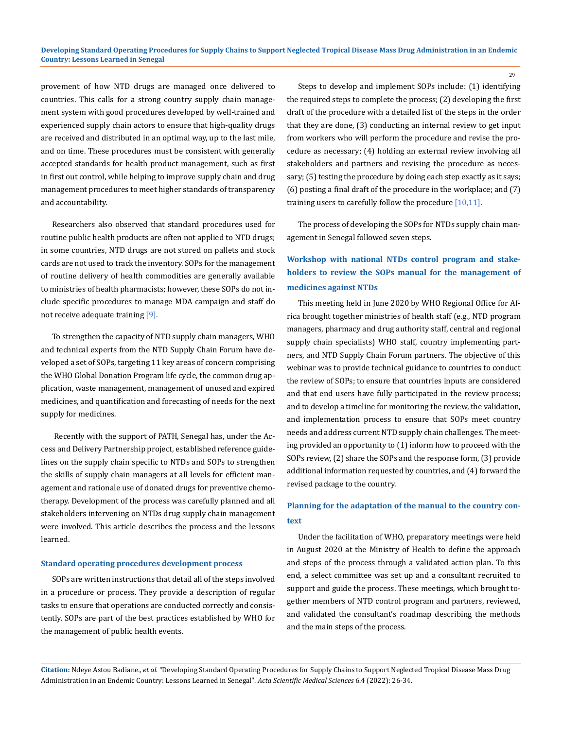provement of how NTD drugs are managed once delivered to countries. This calls for a strong country supply chain management system with good procedures developed by well-trained and experienced supply chain actors to ensure that high-quality drugs are received and distributed in an optimal way, up to the last mile, and on time. These procedures must be consistent with generally accepted standards for health product management, such as first in first out control, while helping to improve supply chain and drug management procedures to meet higher standards of transparency and accountability.

Researchers also observed that standard procedures used for routine public health products are often not applied to NTD drugs; in some countries, NTD drugs are not stored on pallets and stock cards are not used to track the inventory. SOPs for the management of routine delivery of health commodities are generally available to ministries of health pharmacists; however, these SOPs do not include specific procedures to manage MDA campaign and staff do not receive adequate training [9].

To strengthen the capacity of NTD supply chain managers, WHO and technical experts from the NTD Supply Chain Forum have developed a set of SOPs, targeting 11 key areas of concern comprising the WHO Global Donation Program life cycle, the common drug application, waste management, management of unused and expired medicines, and quantification and forecasting of needs for the next supply for medicines.

 Recently with the support of PATH, Senegal has, under the Access and Delivery Partnership project, established reference guidelines on the supply chain specific to NTDs and SOPs to strengthen the skills of supply chain managers at all levels for efficient management and rationale use of donated drugs for preventive chemotherapy. Development of the process was carefully planned and all stakeholders intervening on NTDs drug supply chain management were involved. This article describes the process and the lessons learned.

### **Standard operating procedures development process**

SOPs are written instructions that detail all of the steps involved in a procedure or process. They provide a description of regular tasks to ensure that operations are conducted correctly and consistently. SOPs are part of the best practices established by WHO for the management of public health events.

Steps to develop and implement SOPs include: (1) identifying the required steps to complete the process; (2) developing the first draft of the procedure with a detailed list of the steps in the order that they are done, (3) conducting an internal review to get input from workers who will perform the procedure and revise the procedure as necessary; (4) holding an external review involving all stakeholders and partners and revising the procedure as necessary; (5) testing the procedure by doing each step exactly as it says; (6) posting a final draft of the procedure in the workplace; and (7) training users to carefully follow the procedure [10,11].

The process of developing the SOPs for NTDs supply chain management in Senegal followed seven steps.

## **Workshop with national NTDs control program and stakeholders to review the SOPs manual for the management of medicines against NTDs**

This meeting held in June 2020 by WHO Regional Office for Africa brought together ministries of health staff (e.g., NTD program managers, pharmacy and drug authority staff, central and regional supply chain specialists) WHO staff, country implementing partners, and NTD Supply Chain Forum partners. The objective of this webinar was to provide technical guidance to countries to conduct the review of SOPs; to ensure that countries inputs are considered and that end users have fully participated in the review process; and to develop a timeline for monitoring the review, the validation, and implementation process to ensure that SOPs meet country needs and address current NTD supply chain challenges. The meeting provided an opportunity to (1) inform how to proceed with the SOPs review, (2) share the SOPs and the response form, (3) provide additional information requested by countries, and (4) forward the revised package to the country.

## **Planning for the adaptation of the manual to the country context**

Under the facilitation of WHO, preparatory meetings were held in August 2020 at the Ministry of Health to define the approach and steps of the process through a validated action plan. To this end, a select committee was set up and a consultant recruited to support and guide the process. These meetings, which brought together members of NTD control program and partners, reviewed, and validated the consultant's roadmap describing the methods and the main steps of the process.

**Citation:** Ndeye Astou Badiane*., et al.* "Developing Standard Operating Procedures for Supply Chains to Support Neglected Tropical Disease Mass Drug Administration in an Endemic Country: Lessons Learned in Senegal". *Acta Scientific Medical Sciences* 6.4 (2022): 26-34.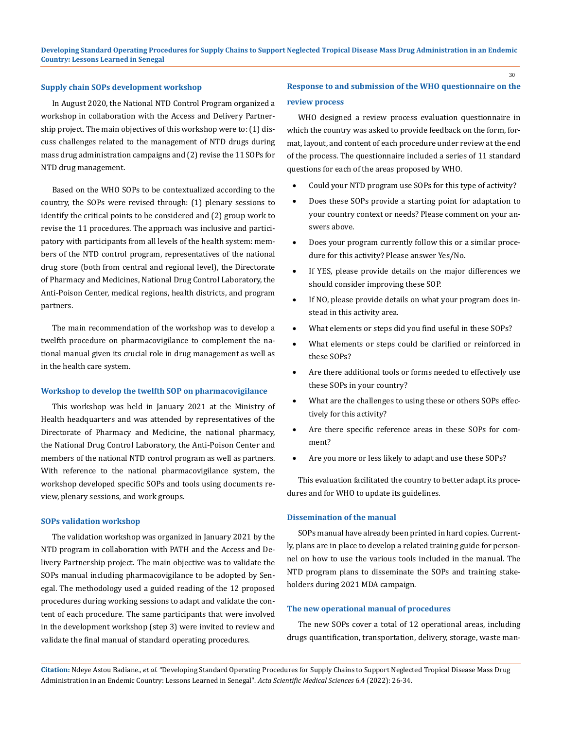#### **Supply chain SOPs development workshop**

In August 2020, the National NTD Control Program organized a workshop in collaboration with the Access and Delivery Partnership project. The main objectives of this workshop were to: (1) discuss challenges related to the management of NTD drugs during mass drug administration campaigns and (2) revise the 11 SOPs for NTD drug management.

Based on the WHO SOPs to be contextualized according to the country, the SOPs were revised through: (1) plenary sessions to identify the critical points to be considered and (2) group work to revise the 11 procedures. The approach was inclusive and participatory with participants from all levels of the health system: members of the NTD control program, representatives of the national drug store (both from central and regional level), the Directorate of Pharmacy and Medicines, National Drug Control Laboratory, the Anti-Poison Center, medical regions, health districts, and program partners.

The main recommendation of the workshop was to develop a twelfth procedure on pharmacovigilance to complement the national manual given its crucial role in drug management as well as in the health care system.

#### **Workshop to develop the twelfth SOP on pharmacovigilance**

This workshop was held in January 2021 at the Ministry of Health headquarters and was attended by representatives of the Directorate of Pharmacy and Medicine, the national pharmacy, the National Drug Control Laboratory, the Anti-Poison Center and members of the national NTD control program as well as partners. With reference to the national pharmacovigilance system, the workshop developed specific SOPs and tools using documents review, plenary sessions, and work groups.

#### **SOPs validation workshop**

The validation workshop was organized in January 2021 by the NTD program in collaboration with PATH and the Access and Delivery Partnership project. The main objective was to validate the SOPs manual including pharmacovigilance to be adopted by Senegal. The methodology used a guided reading of the 12 proposed procedures during working sessions to adapt and validate the content of each procedure. The same participants that were involved in the development workshop (step 3) were invited to review and validate the final manual of standard operating procedures.

## **Response to and submission of the WHO questionnaire on the review process**

WHO designed a review process evaluation questionnaire in which the country was asked to provide feedback on the form, format, layout, and content of each procedure under review at the end of the process. The questionnaire included a series of 11 standard questions for each of the areas proposed by WHO.

- Could your NTD program use SOPs for this type of activity?
- Does these SOPs provide a starting point for adaptation to your country context or needs? Please comment on your answers above.
- Does your program currently follow this or a similar procedure for this activity? Please answer Yes/No.
- If YES, please provide details on the major differences we should consider improving these SOP.
- If NO, please provide details on what your program does instead in this activity area.
- What elements or steps did you find useful in these SOPs?
- What elements or steps could be clarified or reinforced in these SOPs?
- Are there additional tools or forms needed to effectively use these SOPs in your country?
- What are the challenges to using these or others SOPs effectively for this activity?
- Are there specific reference areas in these SOPs for comment?
- Are you more or less likely to adapt and use these SOPs?

This evaluation facilitated the country to better adapt its procedures and for WHO to update its guidelines.

### **Dissemination of the manual**

SOPs manual have already been printed in hard copies. Currently, plans are in place to develop a related training guide for personnel on how to use the various tools included in the manual. The NTD program plans to disseminate the SOPs and training stakeholders during 2021 MDA campaign.

#### **The new operational manual of procedures**

The new SOPs cover a total of 12 operational areas, including drugs quantification, transportation, delivery, storage, waste man-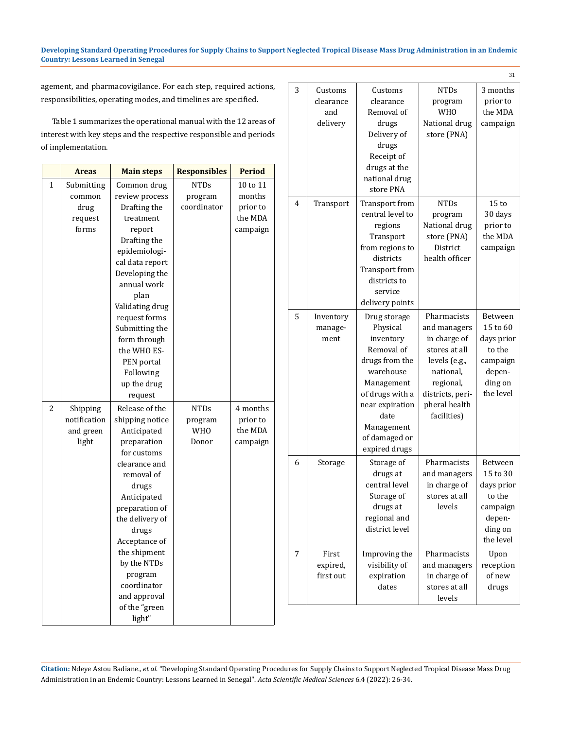### **Developing Standard Operating Procedures for Supply Chains to Support Neglected Tropical Disease Mass Drug Administration in an Endemic Country: Lessons Learned in Senegal**

agement, and pharmacovigilance. For each step, required actions, responsibilities, operating modes, and timelines are specified.

Table 1 summarizes the operational manual with the 12 areas of interest with key steps and the respective responsible and periods of implementation.

|              | <b>Areas</b> | <b>Main steps</b> | <b>Responsibles</b> | <b>Period</b> |
|--------------|--------------|-------------------|---------------------|---------------|
| $\mathbf{1}$ | Submitting   | Common drug       | <b>NTDs</b>         | 10 to 11      |
|              | common       | review process    | program             | months        |
|              | drug         | Drafting the      | coordinator         | prior to      |
|              | request      | treatment         |                     | the MDA       |
|              | forms        | report            |                     | campaign      |
|              |              | Drafting the      |                     |               |
|              |              | epidemiologi-     |                     |               |
|              |              | cal data report   |                     |               |
|              |              | Developing the    |                     |               |
|              |              | annual work       |                     |               |
|              |              | plan              |                     |               |
|              |              | Validating drug   |                     |               |
|              |              | request forms     |                     |               |
|              |              | Submitting the    |                     |               |
|              |              | form through      |                     |               |
|              |              | the WHO ES-       |                     |               |
|              |              | PEN portal        |                     |               |
|              |              | Following         |                     |               |
|              |              | up the drug       |                     |               |
|              |              | request           |                     |               |
| 2            | Shipping     | Release of the    | <b>NTDs</b>         | 4 months      |
|              | notification | shipping notice   | program             | prior to      |
|              | and green    | Anticipated       | <b>WHO</b>          | the MDA       |
|              | light        | preparation       | Donor               | campaign      |
|              |              | for customs       |                     |               |
|              |              | clearance and     |                     |               |
|              |              | removal of        |                     |               |
|              |              | drugs             |                     |               |
|              |              | Anticipated       |                     |               |
|              |              | preparation of    |                     |               |
|              |              | the delivery of   |                     |               |
|              |              | drugs             |                     |               |
|              |              | Acceptance of     |                     |               |
|              |              | the shipment      |                     |               |
|              |              | by the NTDs       |                     |               |
|              |              | program           |                     |               |
|              |              | coordinator       |                     |               |
|              |              | and approval      |                     |               |
|              |              | of the "green     |                     |               |
|              |              | light"            |                     |               |

|   |                                         |                                                                                                                                                                                                |                                                                                                                                                             | 31                                                                                        |
|---|-----------------------------------------|------------------------------------------------------------------------------------------------------------------------------------------------------------------------------------------------|-------------------------------------------------------------------------------------------------------------------------------------------------------------|-------------------------------------------------------------------------------------------|
| 3 | Customs<br>clearance<br>and<br>delivery | Customs<br>clearance<br>Removal of<br>drugs<br>Delivery of<br>drugs<br>Receipt of<br>drugs at the<br>national drug<br>store PNA                                                                | NTDs<br>program<br><b>WHO</b><br>National drug<br>store (PNA)                                                                                               | 3 months<br>prior to<br>the MDA<br>campaign                                               |
| 4 | Transport                               | Transport from<br>central level to<br>regions<br>Transport<br>from regions to<br>districts<br>Transport from<br>districts to<br>service<br>delivery points                                     | NTDs<br>program<br>National drug<br>store (PNA)<br>District<br>health officer                                                                               | 15 <sub>to</sub><br>30 days<br>prior to<br>the MDA<br>campaign                            |
| 5 | Inventory<br>manage-<br>ment            | Drug storage<br>Physical<br>inventory<br>Removal of<br>drugs from the<br>warehouse<br>Management<br>of drugs with a<br>near expiration<br>date<br>Management<br>of damaged or<br>expired drugs | Pharmacists<br>and managers<br>in charge of<br>stores at all<br>levels (e.g.,<br>national,<br>regional,<br>districts, peri-<br>pheral health<br>facilities) | Between<br>15 to 60<br>days prior<br>to the<br>campaign<br>depen-<br>ding on<br>the level |
| 6 | Storage                                 | Storage of<br>drugs at<br>central level<br>Storage of<br>drugs at<br>regional and<br>district level                                                                                            | Pharmacists<br>and managers<br>in charge of<br>stores at all<br>levels                                                                                      | Between<br>15 to 30<br>days prior<br>to the<br>campaign<br>depen-<br>ding on<br>the level |
| 7 | First<br>expired,<br>first out          | Improving the<br>visibility of<br>expiration<br>dates                                                                                                                                          | Pharmacists<br>and managers<br>in charge of<br>stores at all<br>levels                                                                                      | Upon<br>reception<br>of new<br>drugs                                                      |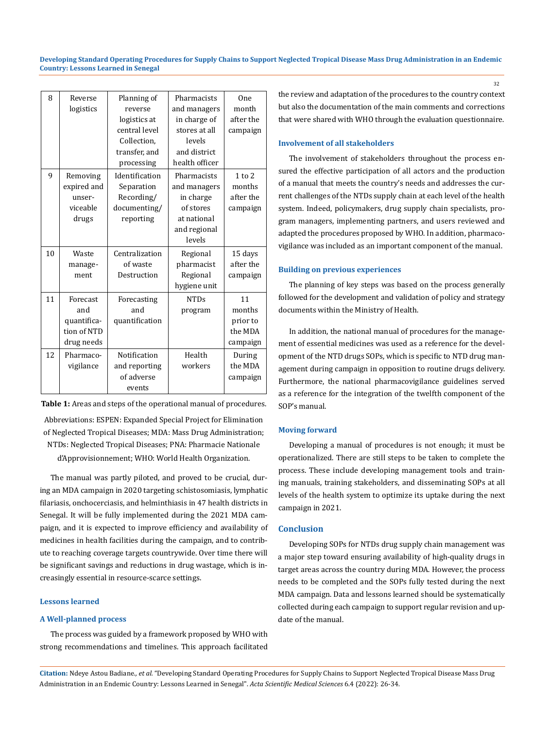**Developing Standard Operating Procedures for Supply Chains to Support Neglected Tropical Disease Mass Drug Administration in an Endemic Country: Lessons Learned in Senegal**

| 8  | Reverse<br>logistics                                        | Planning of<br>reverse<br>logistics at<br>central level<br>Collection,<br>transfer, and<br>processing | Pharmacists<br>and managers<br>in charge of<br>stores at all<br>levels<br>and district<br>health officer | One<br>month<br>after the<br>campaign           |
|----|-------------------------------------------------------------|-------------------------------------------------------------------------------------------------------|----------------------------------------------------------------------------------------------------------|-------------------------------------------------|
| 9  | Removing<br>expired and<br>unser-<br>viceable<br>drugs      | Identification<br>Separation<br>Recording/<br>documenting/<br>reporting                               | Pharmacists<br>and managers<br>in charge<br>of stores<br>at national<br>and regional<br>levels           | $1$ to $2$<br>months<br>after the<br>campaign   |
| 10 | Waste<br>manage-<br>ment                                    | Centralization<br>of waste<br>Destruction                                                             | Regional<br>pharmacist<br>Regional<br>hygiene unit                                                       | 15 days<br>after the<br>campaign                |
| 11 | Forecast<br>and<br>quantifica-<br>tion of NTD<br>drug needs | Forecasting<br>and<br>quantification                                                                  | <b>NTDs</b><br>program                                                                                   | 11<br>months<br>prior to<br>the MDA<br>campaign |
| 12 | Pharmaco-<br>vigilance                                      | Notification<br>and reporting<br>of adverse<br>events                                                 | Health<br>workers                                                                                        | During<br>the MDA<br>campaign                   |

**Table 1:** Areas and steps of the operational manual of procedures.

Abbreviations: ESPEN: Expanded Special Project for Elimination of Neglected Tropical Diseases; MDA: Mass Drug Administration; NTDs: Neglected Tropical Diseases; PNA: Pharmacie Nationale d'Approvisionnement; WHO: World Health Organization.

The manual was partly piloted, and proved to be crucial, during an MDA campaign in 2020 targeting schistosomiasis, lymphatic filariasis, onchocerciasis, and helminthiasis in 47 health districts in Senegal. It will be fully implemented during the 2021 MDA campaign, and it is expected to improve efficiency and availability of medicines in health facilities during the campaign, and to contribute to reaching coverage targets countrywide. Over time there will be significant savings and reductions in drug wastage, which is increasingly essential in resource-scarce settings.

#### **Lessons learned**

#### **A Well-planned process**

The process was guided by a framework proposed by WHO with strong recommendations and timelines. This approach facilitated the review and adaptation of the procedures to the country context but also the documentation of the main comments and corrections that were shared with WHO through the evaluation questionnaire.

### **Involvement of all stakeholders**

The involvement of stakeholders throughout the process ensured the effective participation of all actors and the production of a manual that meets the country's needs and addresses the current challenges of the NTDs supply chain at each level of the health system. Indeed, policymakers, drug supply chain specialists, program managers, implementing partners, and users reviewed and adapted the procedures proposed by WHO. In addition, pharmacovigilance was included as an important component of the manual.

#### **Building on previous experiences**

The planning of key steps was based on the process generally followed for the development and validation of policy and strategy documents within the Ministry of Health.

In addition, the national manual of procedures for the management of essential medicines was used as a reference for the development of the NTD drugs SOPs, which is specific to NTD drug management during campaign in opposition to routine drugs delivery. Furthermore, the national pharmacovigilance guidelines served as a reference for the integration of the twelfth component of the SOP's manual.

#### **Moving forward**

Developing a manual of procedures is not enough; it must be operationalized. There are still steps to be taken to complete the process. These include developing management tools and training manuals, training stakeholders, and disseminating SOPs at all levels of the health system to optimize its uptake during the next campaign in 2021.

#### **Conclusion**

Developing SOPs for NTDs drug supply chain management was a major step toward ensuring availability of high-quality drugs in target areas across the country during MDA. However, the process needs to be completed and the SOPs fully tested during the next MDA campaign. Data and lessons learned should be systematically collected during each campaign to support regular revision and update of the manual.

**Citation:** Ndeye Astou Badiane*., et al.* "Developing Standard Operating Procedures for Supply Chains to Support Neglected Tropical Disease Mass Drug Administration in an Endemic Country: Lessons Learned in Senegal". *Acta Scientific Medical Sciences* 6.4 (2022): 26-34.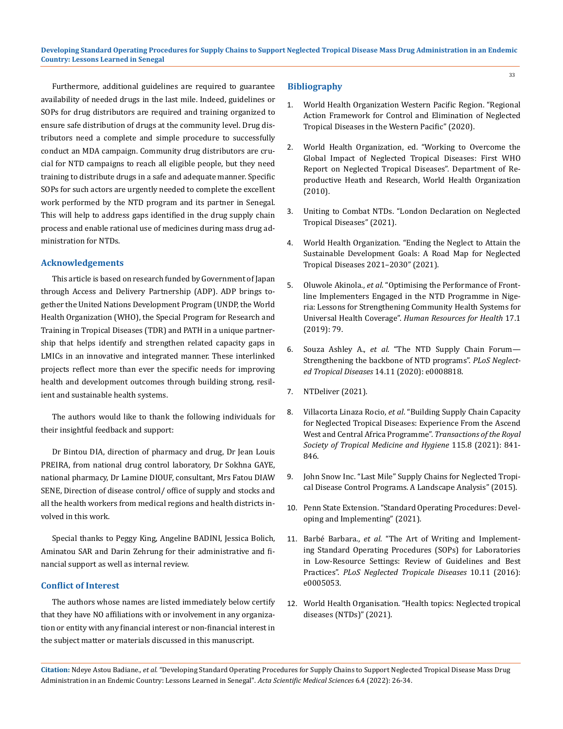Furthermore, additional guidelines are required to guarantee availability of needed drugs in the last mile. Indeed, guidelines or SOPs for drug distributors are required and training organized to ensure safe distribution of drugs at the community level. Drug distributors need a complete and simple procedure to successfully conduct an MDA campaign. Community drug distributors are crucial for NTD campaigns to reach all eligible people, but they need training to distribute drugs in a safe and adequate manner. Specific SOPs for such actors are urgently needed to complete the excellent work performed by the NTD program and its partner in Senegal. This will help to address gaps identified in the drug supply chain process and enable rational use of medicines during mass drug administration for NTDs.

### **Acknowledgements**

This article is based on research funded by Government of Japan through Access and Delivery Partnership (ADP). ADP brings together the United Nations Development Program (UNDP, the World Health Organization (WHO), the Special Program for Research and Training in Tropical Diseases (TDR) and PATH in a unique partnership that helps identify and strengthen related capacity gaps in LMICs in an innovative and integrated manner. These interlinked projects reflect more than ever the specific needs for improving health and development outcomes through building strong, resilient and sustainable health systems.

The authors would like to thank the following individuals for their insightful feedback and support:

Dr Bintou DIA, direction of pharmacy and drug, Dr Jean Louis PREIRA, from national drug control laboratory, Dr Sokhna GAYE, national pharmacy, Dr Lamine DIOUF, consultant, Mrs Fatou DIAW SENE, Direction of disease control/ office of supply and stocks and all the health workers from medical regions and health districts involved in this work.

Special thanks to Peggy King, Angeline BADINI, Jessica Bolich, Aminatou SAR and Darin Zehrung for their administrative and financial support as well as internal review.

#### **Conflict of Interest**

The authors whose names are listed immediately below certify that they have NO affiliations with or involvement in any organization or entity with any financial interest or non-financial interest in the subject matter or materials discussed in this manuscript.

#### **Bibliography**

1. [World Health Organization Western Pacific Region. "Regional](https://iris.wpro.who.int/bitstream/handle/10665.1/14514/9789290619079-eng.pdf)  [Action Framework for Control and Elimination of Neglected](https://iris.wpro.who.int/bitstream/handle/10665.1/14514/9789290619079-eng.pdf)  [Tropical Diseases in the Western Pacific" \(2020\).](https://iris.wpro.who.int/bitstream/handle/10665.1/14514/9789290619079-eng.pdf)

33

- 2. World Health Organization, ed. "Working to Overcome the Global Impact of Neglected Tropical Diseases: First WHO Report on Neglected Tropical Diseases". Department of Reproductive Heath and Research, World Health Organization (2010).
- 3. [Uniting to Combat NTDs. "London Declaration on Neglected](https://unitingtocombatntds.org/resource-hub/who-resources/london-declaration-neglected-tropical-diseases/)  [Tropical Diseases" \(2021\).](https://unitingtocombatntds.org/resource-hub/who-resources/london-declaration-neglected-tropical-diseases/)
- 4. [World Health Organization. "Ending the Neglect to Attain the](https://www.who.int/publications-detail-redirect/9789240010352)  [Sustainable Development Goals: A Road Map for Neglected](https://www.who.int/publications-detail-redirect/9789240010352)  [Tropical Diseases 2021–2030" \(2021\).](https://www.who.int/publications-detail-redirect/9789240010352)
- 5. Oluwole Akinola., *et al*[. "Optimising the Performance of Front](https://human-resources-health.biomedcentral.com/articles/10.1186/s12960-019-0419-8)[line Implementers Engaged in the NTD Programme in Nige](https://human-resources-health.biomedcentral.com/articles/10.1186/s12960-019-0419-8)[ria: Lessons for Strengthening Community Health Systems for](https://human-resources-health.biomedcentral.com/articles/10.1186/s12960-019-0419-8)  Universal Health Coverage". *[Human Resources for Health](https://human-resources-health.biomedcentral.com/articles/10.1186/s12960-019-0419-8)* 17.1 [\(2019\): 79.](https://human-resources-health.biomedcentral.com/articles/10.1186/s12960-019-0419-8)
- 6. Souza Ashley A., *et al*[. "The NTD Supply Chain Forum—](https://journals.plos.org/plosntds/article?id=10.1371/journal.pntd.0008818) [Strengthening the backbone of NTD programs".](https://journals.plos.org/plosntds/article?id=10.1371/journal.pntd.0008818) *PLoS Neglected Tropical Diseases* [14.11 \(2020\): e0008818.](https://journals.plos.org/plosntds/article?id=10.1371/journal.pntd.0008818)
- 7. [NTDeliver \(2021\).](https://www.ntdeliver.com/report/2019)
- 8. Villacorta Linaza Rocio, *et al*[. "Building Supply Chain Capacity](https://academic.oup.com/trstmh/article/115/8/841/6276246?login=true)  [for Neglected Tropical Diseases: Experience From the Ascend](https://academic.oup.com/trstmh/article/115/8/841/6276246?login=true)  [West and Central Africa Programme".](https://academic.oup.com/trstmh/article/115/8/841/6276246?login=true) *Transactions of the Royal [Society of Tropical Medicine and Hygiene](https://academic.oup.com/trstmh/article/115/8/841/6276246?login=true)* 115.8 (2021): 841- [846.](https://academic.oup.com/trstmh/article/115/8/841/6276246?login=true)
- 9. [John Snow Inc. "Last Mile" Supply Chains for Neglected Tropi](https://publications.jsi.com/JSIInternet/Inc/Common/_download_pub.cfm?id=15198&lid=3)[cal Disease Control Programs. A Landscape Analysis" \(2015\).](https://publications.jsi.com/JSIInternet/Inc/Common/_download_pub.cfm?id=15198&lid=3)
- 10. [Penn State Extension. "Standard Operating Procedures: Devel](https://extension.psu.edu/standard-operating-procedures-developing-and-implementing)[oping and Implementing" \(2021\).](https://extension.psu.edu/standard-operating-procedures-developing-and-implementing)
- 11. Barbé Barbara., *et al*[. "The Art of Writing and Implement](https://journals.plos.org/plosntds/article?id=10.1371/journal.pntd.0005053)[ing Standard Operating Procedures \(SOPs\) for Laboratories](https://journals.plos.org/plosntds/article?id=10.1371/journal.pntd.0005053)  [in Low-Resource Settings: Review of Guidelines and Best](https://journals.plos.org/plosntds/article?id=10.1371/journal.pntd.0005053)  Practices". *[PLoS Neglected Tropicale Diseases](https://journals.plos.org/plosntds/article?id=10.1371/journal.pntd.0005053)* 10.11 (2016): [e0005053.](https://journals.plos.org/plosntds/article?id=10.1371/journal.pntd.0005053)
- 12. World Health Organisation. "Health topics: Neglected tropical diseases (NTDs)" (2021).